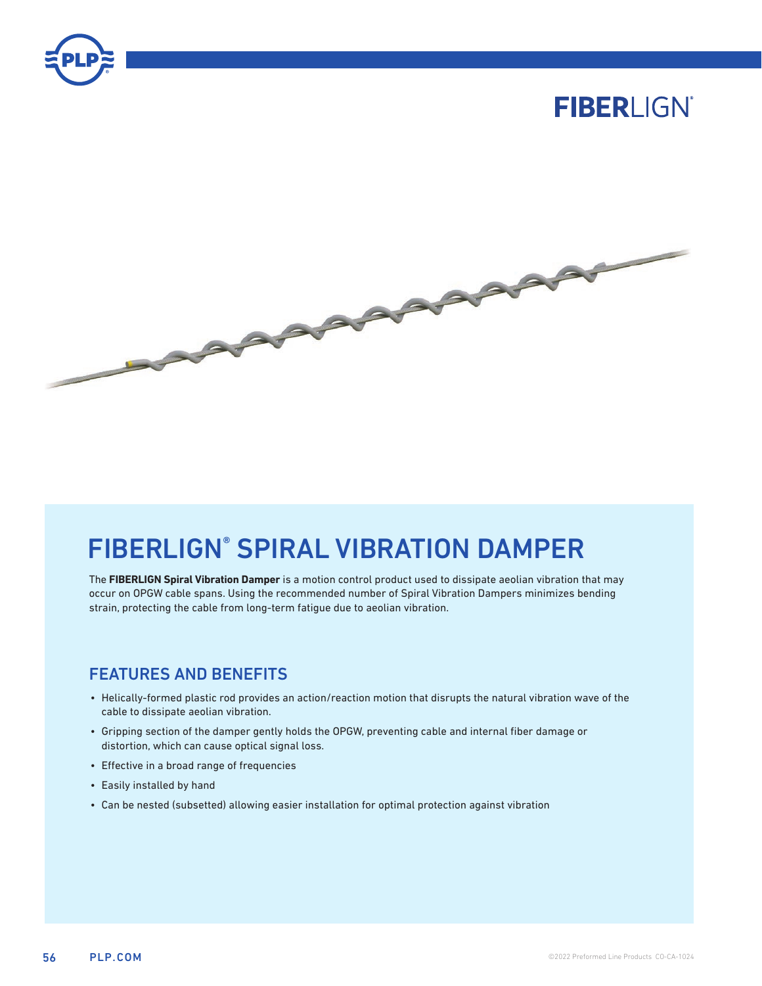

# **FIBERLIGN®**



# FIBERLIGN® SPIRAL VIBRATION DAMPER

The **FIBERLIGN Spiral Vibration Damper** is a motion control product used to dissipate aeolian vibration that may occur on OPGW cable spans. Using the recommended number of Spiral Vibration Dampers minimizes bending strain, protecting the cable from long-term fatigue due to aeolian vibration.

### FEATURES AND BENEFITS

- Helically-formed plastic rod provides an action/reaction motion that disrupts the natural vibration wave of the cable to dissipate aeolian vibration.
- Gripping section of the damper gently holds the OPGW, preventing cable and internal fiber damage or distortion, which can cause optical signal loss.
- Effective in a broad range of frequencies
- Easily installed by hand
- Can be nested (subsetted) allowing easier installation for optimal protection against vibration